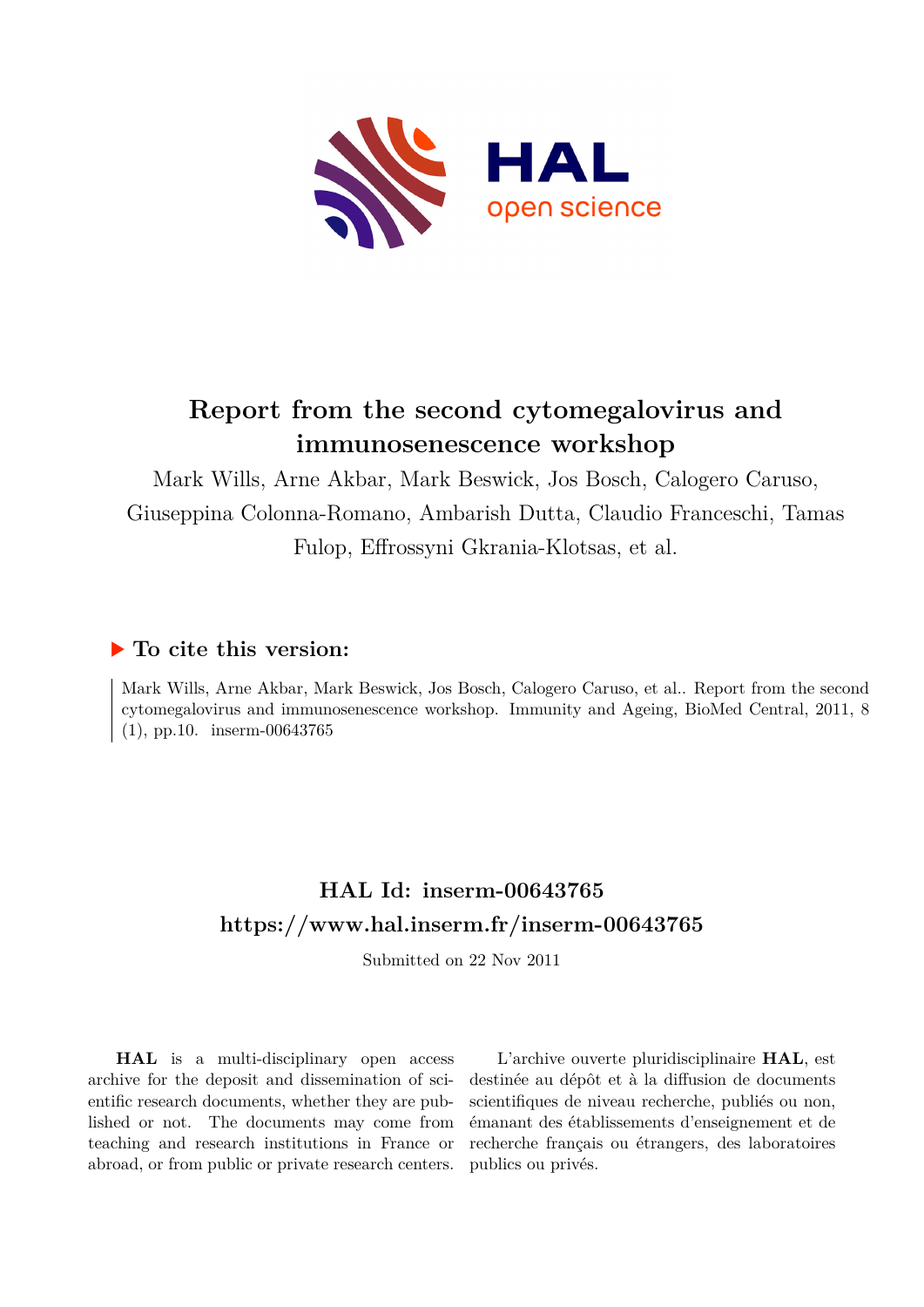

# **Report from the second cytomegalovirus and immunosenescence workshop**

Mark Wills, Arne Akbar, Mark Beswick, Jos Bosch, Calogero Caruso, Giuseppina Colonna-Romano, Ambarish Dutta, Claudio Franceschi, Tamas Fulop, Effrossyni Gkrania-Klotsas, et al.

# **To cite this version:**

Mark Wills, Arne Akbar, Mark Beswick, Jos Bosch, Calogero Caruso, et al.. Report from the second cytomegalovirus and immunosenescence workshop. Immunity and Ageing, BioMed Central, 2011, 8  $(1)$ , pp.10. inserm-00643765

# **HAL Id: inserm-00643765 <https://www.hal.inserm.fr/inserm-00643765>**

Submitted on 22 Nov 2011

**HAL** is a multi-disciplinary open access archive for the deposit and dissemination of scientific research documents, whether they are published or not. The documents may come from teaching and research institutions in France or abroad, or from public or private research centers.

L'archive ouverte pluridisciplinaire **HAL**, est destinée au dépôt et à la diffusion de documents scientifiques de niveau recherche, publiés ou non, émanant des établissements d'enseignement et de recherche français ou étrangers, des laboratoires publics ou privés.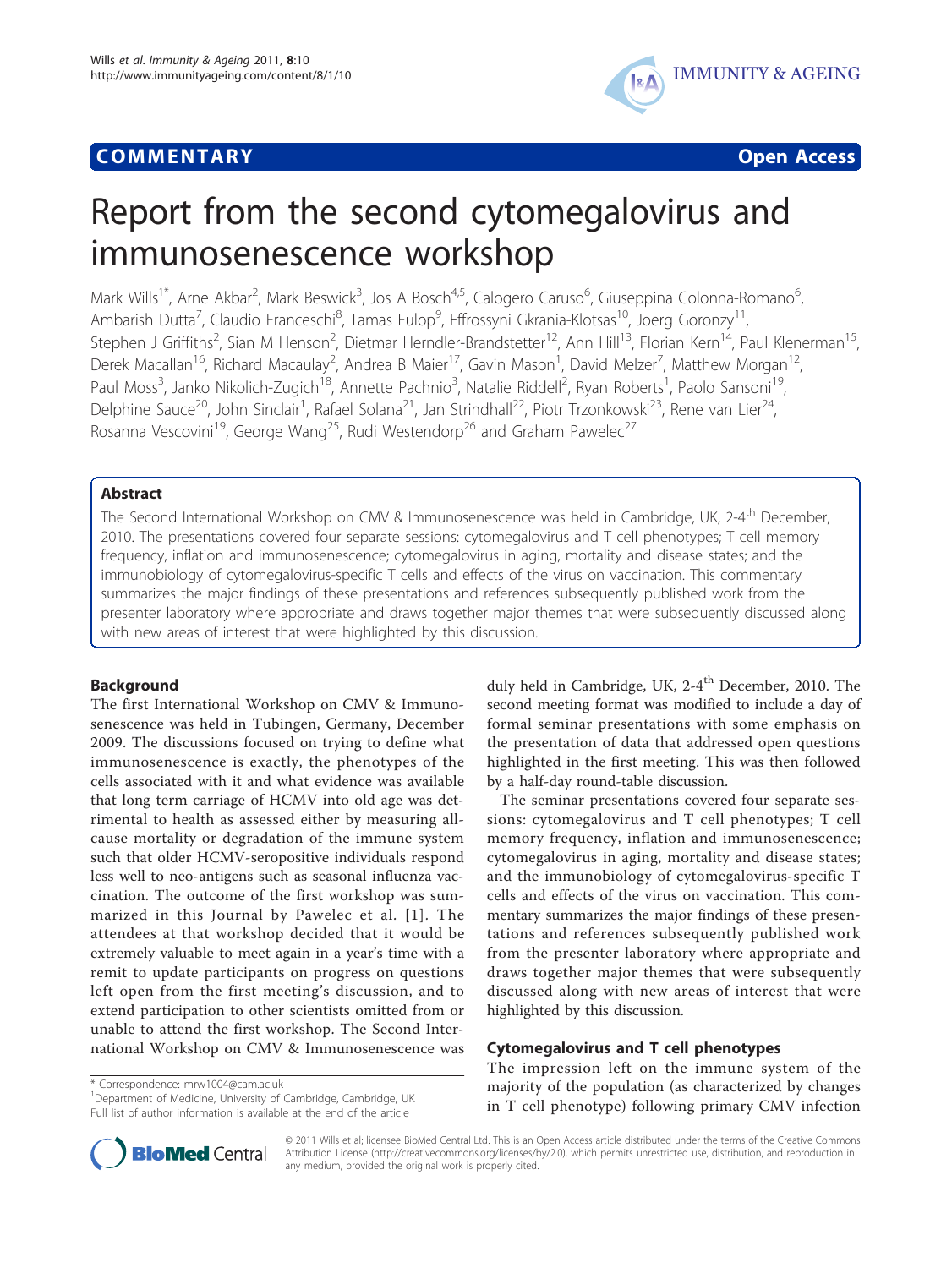# **COMMENTARY COMMENTARY Open Access**



# Report from the second cytomegalovirus and immunosenescence workshop

Mark Wills<sup>1\*</sup>, Arne Akbar<sup>2</sup>, Mark Beswick<sup>3</sup>, Jos A Bosch<sup>4,5</sup>, Calogero Caruso<sup>6</sup>, Giuseppina Colonna-Romano<sup>6</sup> , Ambarish Dutta<sup>7</sup>, Claudio Franceschi<sup>8</sup>, Tamas Fulop<sup>9</sup>, Effrossyni Gkrania-Klotsas<sup>10</sup>, Joerg Goronzy<sup>11</sup> , Stephen J Griffiths<sup>2</sup>, Sian M Henson<sup>2</sup>, Dietmar Herndler-Brandstetter<sup>12</sup>, Ann Hill<sup>13</sup>, Florian Kern<sup>14</sup>, Paul Klenerman<sup>15</sup> , Derek Macallan<sup>16</sup>, Richard Macaulay<sup>2</sup>, Andrea B Maier<sup>17</sup>, Gavin Mason<sup>1</sup>, David Melzer<sup>7</sup>, Matthew Morgan<sup>12</sup> , Paul Moss<sup>3</sup>, Janko Nikolich-Zugich<sup>18</sup>, Annette Pachnio<sup>3</sup>, Natalie Riddell<sup>2</sup>, Ryan Roberts<sup>1</sup>, Paolo Sansoni<sup>19</sup> , Delphine Sauce<sup>20</sup>, John Sinclair<sup>1</sup>, Rafael Solana<sup>21</sup>, Jan Strindhall<sup>22</sup>, Piotr Trzonkowski<sup>23</sup>, Rene van Lier<sup>24</sup> , Rosanna Vescovini<sup>19</sup>, George Wang<sup>25</sup>, Rudi Westendorp<sup>26</sup> and Graham Pawelec<sup>27</sup>

# Abstract

The Second International Workshop on CMV & Immunosenescence was held in Cambridge, UK, 2-4<sup>th</sup> December, 2010. The presentations covered four separate sessions: cytomegalovirus and T cell phenotypes; T cell memory frequency, inflation and immunosenescence; cytomegalovirus in aging, mortality and disease states; and the immunobiology of cytomegalovirus-specific T cells and effects of the virus on vaccination. This commentary summarizes the major findings of these presentations and references subsequently published work from the presenter laboratory where appropriate and draws together major themes that were subsequently discussed along with new areas of interest that were highlighted by this discussion.

## Background

The first International Workshop on CMV & Immunosenescence was held in Tubingen, Germany, December 2009. The discussions focused on trying to define what immunosenescence is exactly, the phenotypes of the cells associated with it and what evidence was available that long term carriage of HCMV into old age was detrimental to health as assessed either by measuring allcause mortality or degradation of the immune system such that older HCMV-seropositive individuals respond less well to neo-antigens such as seasonal influenza vaccination. The outcome of the first workshop was summarized in this Journal by Pawelec et al. [[1](#page-8-0)]. The attendees at that workshop decided that it would be extremely valuable to meet again in a year's time with a remit to update participants on progress on questions left open from the first meeting's discussion, and to extend participation to other scientists omitted from or unable to attend the first workshop. The Second International Workshop on CMV & Immunosenescence was

\* Correspondence: [mrw1004@cam.ac.uk](mailto:mrw1004@cam.ac.uk)

<sup>1</sup>Department of Medicine, University of Cambridge, Cambridge, UK Full list of author information is available at the end of the article



The seminar presentations covered four separate sessions: cytomegalovirus and T cell phenotypes; T cell memory frequency, inflation and immunosenescence; cytomegalovirus in aging, mortality and disease states; and the immunobiology of cytomegalovirus-specific T cells and effects of the virus on vaccination. This commentary summarizes the major findings of these presentations and references subsequently published work from the presenter laboratory where appropriate and draws together major themes that were subsequently discussed along with new areas of interest that were highlighted by this discussion.

#### Cytomegalovirus and T cell phenotypes

The impression left on the immune system of the majority of the population (as characterized by changes in T cell phenotype) following primary CMV infection



© 2011 Wills et al; licensee BioMed Central Ltd. This is an Open Access article distributed under the terms of the Creative Commons Attribution License [\(http://creativecommons.org/licenses/by/2.0](http://creativecommons.org/licenses/by/2.0)), which permits unrestricted use, distribution, and reproduction in any medium, provided the original work is properly cited.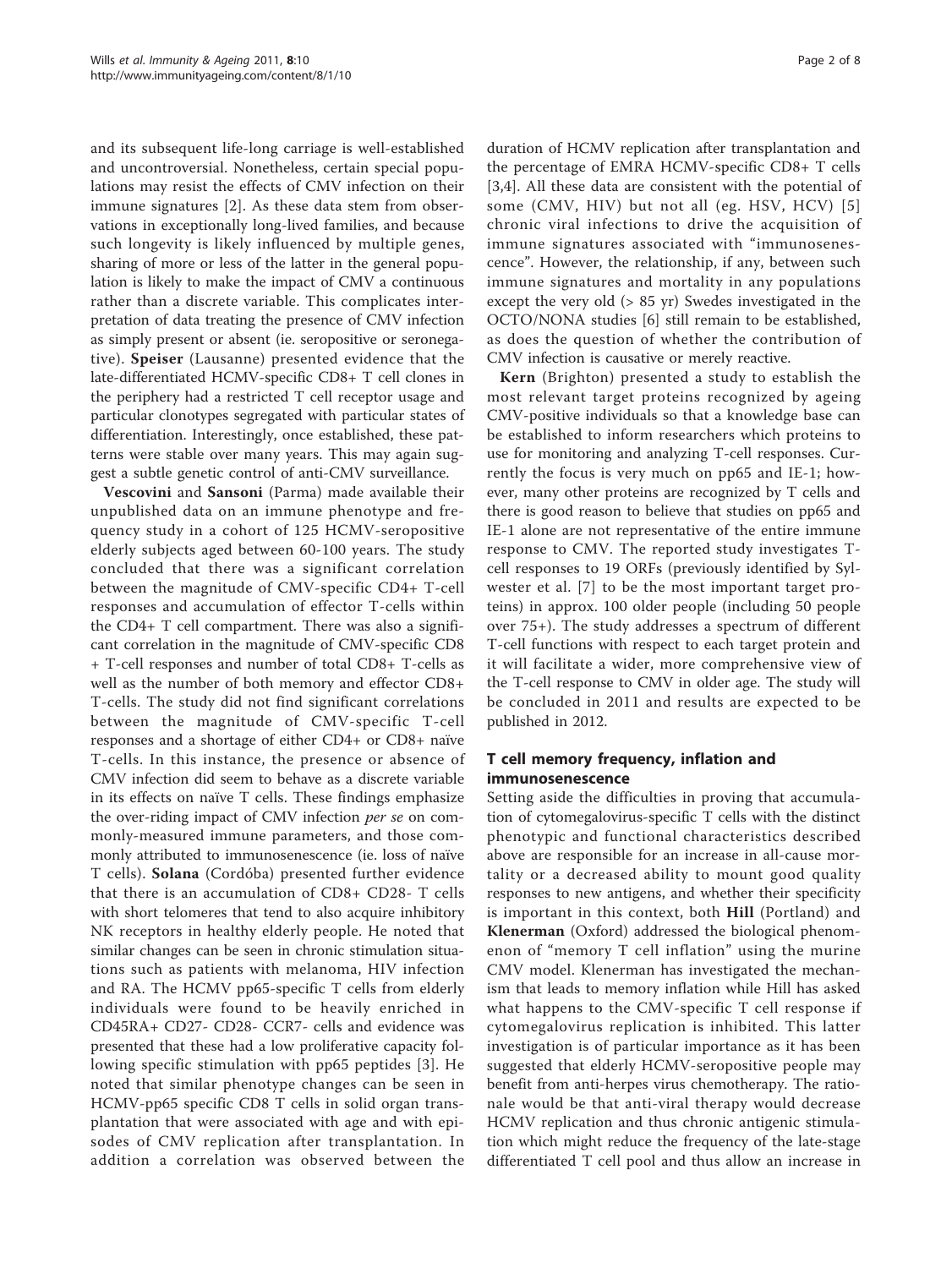and its subsequent life-long carriage is well-established and uncontroversial. Nonetheless, certain special populations may resist the effects of CMV infection on their immune signatures [\[2](#page-8-0)]. As these data stem from observations in exceptionally long-lived families, and because such longevity is likely influenced by multiple genes, sharing of more or less of the latter in the general population is likely to make the impact of CMV a continuous rather than a discrete variable. This complicates interpretation of data treating the presence of CMV infection as simply present or absent (ie. seropositive or seronegative). Speiser (Lausanne) presented evidence that the late-differentiated HCMV-specific CD8+ T cell clones in the periphery had a restricted T cell receptor usage and particular clonotypes segregated with particular states of differentiation. Interestingly, once established, these patterns were stable over many years. This may again suggest a subtle genetic control of anti-CMV surveillance.

Vescovini and Sansoni (Parma) made available their unpublished data on an immune phenotype and frequency study in a cohort of 125 HCMV-seropositive elderly subjects aged between 60-100 years. The study concluded that there was a significant correlation between the magnitude of CMV-specific CD4+ T-cell responses and accumulation of effector T-cells within the CD4+ T cell compartment. There was also a significant correlation in the magnitude of CMV-specific CD8 + T-cell responses and number of total CD8+ T-cells as well as the number of both memory and effector CD8+ T-cells. The study did not find significant correlations between the magnitude of CMV-specific T-cell responses and a shortage of either CD4+ or CD8+ naïve T-cells. In this instance, the presence or absence of CMV infection did seem to behave as a discrete variable in its effects on naïve T cells. These findings emphasize the over-riding impact of CMV infection per se on commonly-measured immune parameters, and those commonly attributed to immunosenescence (ie. loss of naïve T cells). Solana (Cordóba) presented further evidence that there is an accumulation of CD8+ CD28- T cells with short telomeres that tend to also acquire inhibitory NK receptors in healthy elderly people. He noted that similar changes can be seen in chronic stimulation situations such as patients with melanoma, HIV infection and RA. The HCMV pp65-specific T cells from elderly individuals were found to be heavily enriched in CD45RA+ CD27- CD28- CCR7- cells and evidence was presented that these had a low proliferative capacity following specific stimulation with pp65 peptides [[3](#page-8-0)]. He noted that similar phenotype changes can be seen in HCMV-pp65 specific CD8 T cells in solid organ transplantation that were associated with age and with episodes of CMV replication after transplantation. In addition a correlation was observed between the

duration of HCMV replication after transplantation and the percentage of EMRA HCMV-specific CD8+ T cells [[3,4](#page-8-0)]. All these data are consistent with the potential of some (CMV, HIV) but not all (eg. HSV, HCV) [[5](#page-8-0)] chronic viral infections to drive the acquisition of immune signatures associated with "immunosenescence". However, the relationship, if any, between such immune signatures and mortality in any populations except the very old (> 85 yr) Swedes investigated in the OCTO/NONA studies [[6\]](#page-8-0) still remain to be established, as does the question of whether the contribution of CMV infection is causative or merely reactive.

Kern (Brighton) presented a study to establish the most relevant target proteins recognized by ageing CMV-positive individuals so that a knowledge base can be established to inform researchers which proteins to use for monitoring and analyzing T-cell responses. Currently the focus is very much on pp65 and IE-1; however, many other proteins are recognized by T cells and there is good reason to believe that studies on pp65 and IE-1 alone are not representative of the entire immune response to CMV. The reported study investigates Tcell responses to 19 ORFs (previously identified by Sylwester et al. [[7\]](#page-8-0) to be the most important target proteins) in approx. 100 older people (including 50 people over 75+). The study addresses a spectrum of different T-cell functions with respect to each target protein and it will facilitate a wider, more comprehensive view of the T-cell response to CMV in older age. The study will be concluded in 2011 and results are expected to be published in 2012.

## T cell memory frequency, inflation and immunosenescence

Setting aside the difficulties in proving that accumulation of cytomegalovirus-specific T cells with the distinct phenotypic and functional characteristics described above are responsible for an increase in all-cause mortality or a decreased ability to mount good quality responses to new antigens, and whether their specificity is important in this context, both Hill (Portland) and Klenerman (Oxford) addressed the biological phenomenon of "memory T cell inflation" using the murine CMV model. Klenerman has investigated the mechanism that leads to memory inflation while Hill has asked what happens to the CMV-specific T cell response if cytomegalovirus replication is inhibited. This latter investigation is of particular importance as it has been suggested that elderly HCMV-seropositive people may benefit from anti-herpes virus chemotherapy. The rationale would be that anti-viral therapy would decrease HCMV replication and thus chronic antigenic stimulation which might reduce the frequency of the late-stage differentiated T cell pool and thus allow an increase in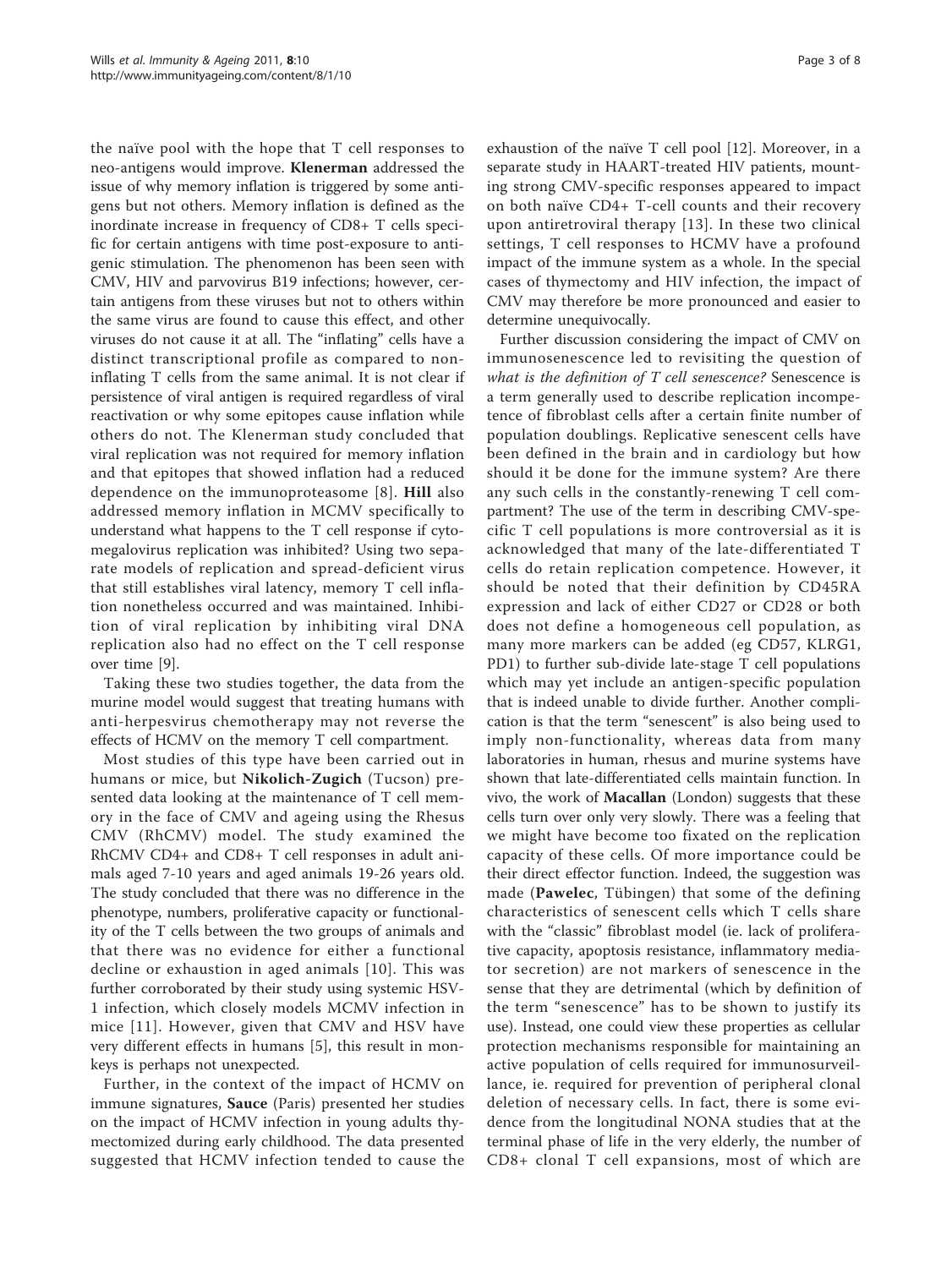the naïve pool with the hope that T cell responses to neo-antigens would improve. Klenerman addressed the issue of why memory inflation is triggered by some antigens but not others. Memory inflation is defined as the inordinate increase in frequency of CD8+ T cells specific for certain antigens with time post-exposure to antigenic stimulation. The phenomenon has been seen with CMV, HIV and parvovirus B19 infections; however, certain antigens from these viruses but not to others within the same virus are found to cause this effect, and other viruses do not cause it at all. The "inflating" cells have a distinct transcriptional profile as compared to noninflating T cells from the same animal. It is not clear if persistence of viral antigen is required regardless of viral reactivation or why some epitopes cause inflation while others do not. The Klenerman study concluded that viral replication was not required for memory inflation and that epitopes that showed inflation had a reduced dependence on the immunoproteasome [[8](#page-8-0)]. Hill also addressed memory inflation in MCMV specifically to understand what happens to the T cell response if cytomegalovirus replication was inhibited? Using two separate models of replication and spread-deficient virus that still establishes viral latency, memory T cell inflation nonetheless occurred and was maintained. Inhibition of viral replication by inhibiting viral DNA replication also had no effect on the T cell response over time [\[9](#page-8-0)].

Taking these two studies together, the data from the murine model would suggest that treating humans with anti-herpesvirus chemotherapy may not reverse the effects of HCMV on the memory T cell compartment.

Most studies of this type have been carried out in humans or mice, but Nikolich-Zugich (Tucson) presented data looking at the maintenance of T cell memory in the face of CMV and ageing using the Rhesus CMV (RhCMV) model. The study examined the RhCMV CD4+ and CD8+ T cell responses in adult animals aged 7-10 years and aged animals 19-26 years old. The study concluded that there was no difference in the phenotype, numbers, proliferative capacity or functionality of the T cells between the two groups of animals and that there was no evidence for either a functional decline or exhaustion in aged animals [[10](#page-8-0)]. This was further corroborated by their study using systemic HSV-1 infection, which closely models MCMV infection in mice [[11\]](#page-8-0). However, given that CMV and HSV have very different effects in humans [\[5](#page-8-0)], this result in monkeys is perhaps not unexpected.

Further, in the context of the impact of HCMV on immune signatures, Sauce (Paris) presented her studies on the impact of HCMV infection in young adults thymectomized during early childhood. The data presented suggested that HCMV infection tended to cause the

exhaustion of the naïve T cell pool [[12\]](#page-8-0). Moreover, in a separate study in HAART-treated HIV patients, mounting strong CMV-specific responses appeared to impact on both naïve CD4+ T-cell counts and their recovery upon antiretroviral therapy [[13](#page-8-0)]. In these two clinical settings, T cell responses to HCMV have a profound impact of the immune system as a whole. In the special cases of thymectomy and HIV infection, the impact of CMV may therefore be more pronounced and easier to determine unequivocally.

Further discussion considering the impact of CMV on immunosenescence led to revisiting the question of what is the definition of T cell senescence? Senescence is a term generally used to describe replication incompetence of fibroblast cells after a certain finite number of population doublings. Replicative senescent cells have been defined in the brain and in cardiology but how should it be done for the immune system? Are there any such cells in the constantly-renewing T cell compartment? The use of the term in describing CMV-specific T cell populations is more controversial as it is acknowledged that many of the late-differentiated T cells do retain replication competence. However, it should be noted that their definition by CD45RA expression and lack of either CD27 or CD28 or both does not define a homogeneous cell population, as many more markers can be added (eg CD57, KLRG1, PD1) to further sub-divide late-stage T cell populations which may yet include an antigen-specific population that is indeed unable to divide further. Another complication is that the term "senescent" is also being used to imply non-functionality, whereas data from many laboratories in human, rhesus and murine systems have shown that late-differentiated cells maintain function. In vivo, the work of Macallan (London) suggests that these cells turn over only very slowly. There was a feeling that we might have become too fixated on the replication capacity of these cells. Of more importance could be their direct effector function. Indeed, the suggestion was made (Pawelec, Tübingen) that some of the defining characteristics of senescent cells which T cells share with the "classic" fibroblast model (ie. lack of proliferative capacity, apoptosis resistance, inflammatory mediator secretion) are not markers of senescence in the sense that they are detrimental (which by definition of the term "senescence" has to be shown to justify its use). Instead, one could view these properties as cellular protection mechanisms responsible for maintaining an active population of cells required for immunosurveillance, ie. required for prevention of peripheral clonal deletion of necessary cells. In fact, there is some evidence from the longitudinal NONA studies that at the terminal phase of life in the very elderly, the number of CD8+ clonal T cell expansions, most of which are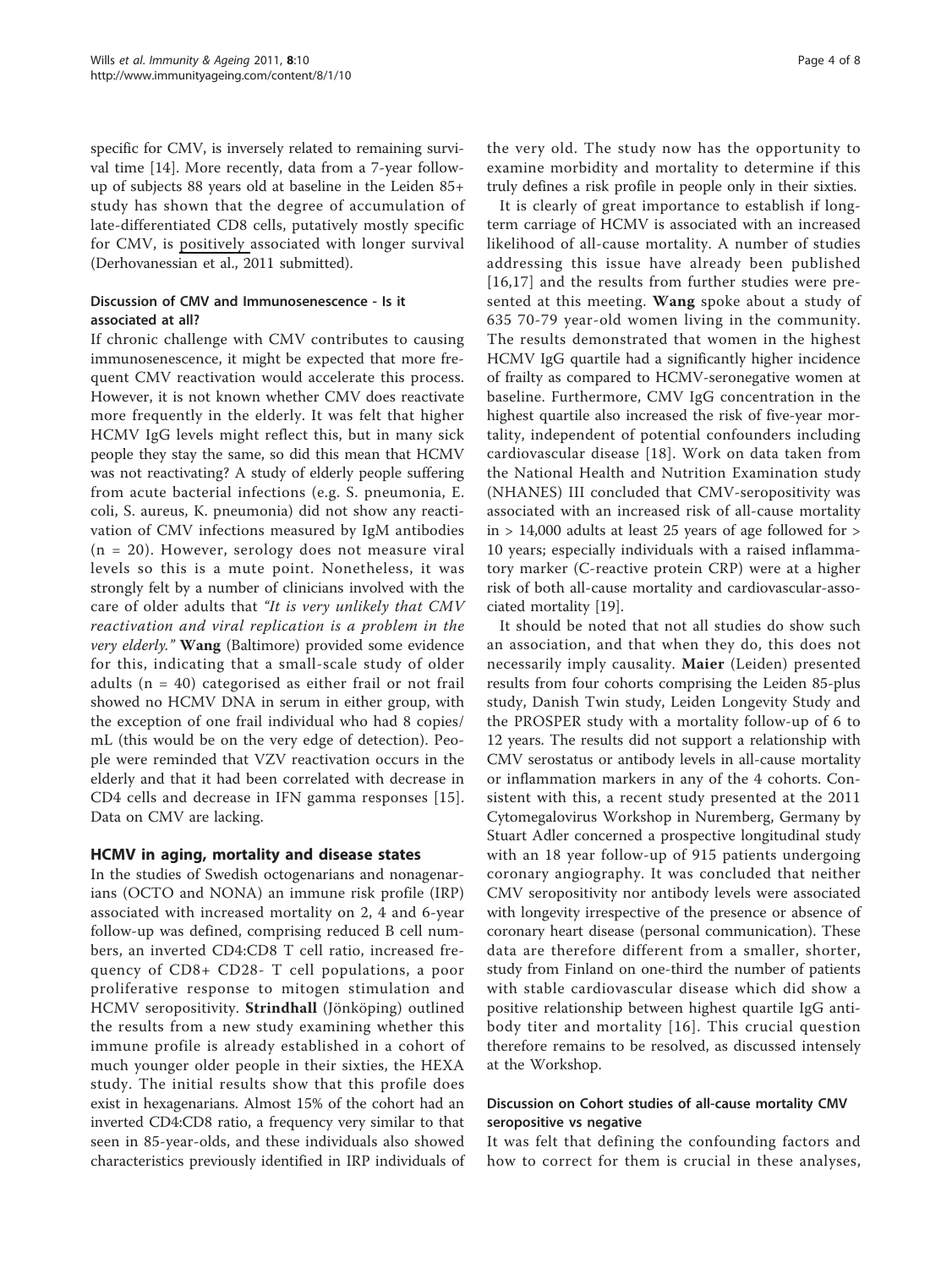specific for CMV, is inversely related to remaining survival time [[14\]](#page-8-0). More recently, data from a 7-year followup of subjects 88 years old at baseline in the Leiden 85+ study has shown that the degree of accumulation of late-differentiated CD8 cells, putatively mostly specific for CMV, is positively associated with longer survival (Derhovanessian et al., 2011 submitted).

#### Discussion of CMV and Immunosenescence - Is it associated at all?

If chronic challenge with CMV contributes to causing immunosenescence, it might be expected that more frequent CMV reactivation would accelerate this process. However, it is not known whether CMV does reactivate more frequently in the elderly. It was felt that higher HCMV IgG levels might reflect this, but in many sick people they stay the same, so did this mean that HCMV was not reactivating? A study of elderly people suffering from acute bacterial infections (e.g. S. pneumonia, E. coli, S. aureus, K. pneumonia) did not show any reactivation of CMV infections measured by IgM antibodies (n = 20). However, serology does not measure viral levels so this is a mute point. Nonetheless, it was strongly felt by a number of clinicians involved with the care of older adults that "It is very unlikely that CMV reactivation and viral replication is a problem in the very elderly." Wang (Baltimore) provided some evidence for this, indicating that a small-scale study of older adults ( $n = 40$ ) categorised as either frail or not frail showed no HCMV DNA in serum in either group, with the exception of one frail individual who had 8 copies/ mL (this would be on the very edge of detection). People were reminded that VZV reactivation occurs in the elderly and that it had been correlated with decrease in CD4 cells and decrease in IFN gamma responses [[15](#page-8-0)]. Data on CMV are lacking.

#### HCMV in aging, mortality and disease states

In the studies of Swedish octogenarians and nonagenarians (OCTO and NONA) an immune risk profile (IRP) associated with increased mortality on 2, 4 and 6-year follow-up was defined, comprising reduced B cell numbers, an inverted CD4:CD8 T cell ratio, increased frequency of CD8+ CD28- T cell populations, a poor proliferative response to mitogen stimulation and HCMV seropositivity. Strindhall (Jönköping) outlined the results from a new study examining whether this immune profile is already established in a cohort of much younger older people in their sixties, the HEXA study. The initial results show that this profile does exist in hexagenarians. Almost 15% of the cohort had an inverted CD4:CD8 ratio, a frequency very similar to that seen in 85-year-olds, and these individuals also showed characteristics previously identified in IRP individuals of

the very old. The study now has the opportunity to examine morbidity and mortality to determine if this truly defines a risk profile in people only in their sixties.

It is clearly of great importance to establish if longterm carriage of HCMV is associated with an increased likelihood of all-cause mortality. A number of studies addressing this issue have already been published [[16](#page-8-0),[17](#page-8-0)] and the results from further studies were presented at this meeting. Wang spoke about a study of 635 70-79 year-old women living in the community. The results demonstrated that women in the highest HCMV IgG quartile had a significantly higher incidence of frailty as compared to HCMV-seronegative women at baseline. Furthermore, CMV IgG concentration in the highest quartile also increased the risk of five-year mortality, independent of potential confounders including cardiovascular disease [[18](#page-8-0)]. Work on data taken from the National Health and Nutrition Examination study (NHANES) III concluded that CMV-seropositivity was associated with an increased risk of all-cause mortality in > 14,000 adults at least 25 years of age followed for > 10 years; especially individuals with a raised inflammatory marker (C-reactive protein CRP) were at a higher risk of both all-cause mortality and cardiovascular-associated mortality [\[19](#page-8-0)].

It should be noted that not all studies do show such an association, and that when they do, this does not necessarily imply causality. Maier (Leiden) presented results from four cohorts comprising the Leiden 85-plus study, Danish Twin study, Leiden Longevity Study and the PROSPER study with a mortality follow-up of 6 to 12 years. The results did not support a relationship with CMV serostatus or antibody levels in all-cause mortality or inflammation markers in any of the 4 cohorts. Consistent with this, a recent study presented at the 2011 Cytomegalovirus Workshop in Nuremberg, Germany by Stuart Adler concerned a prospective longitudinal study with an 18 year follow-up of 915 patients undergoing coronary angiography. It was concluded that neither CMV seropositivity nor antibody levels were associated with longevity irrespective of the presence or absence of coronary heart disease (personal communication). These data are therefore different from a smaller, shorter, study from Finland on one-third the number of patients with stable cardiovascular disease which did show a positive relationship between highest quartile IgG antibody titer and mortality [[16\]](#page-8-0). This crucial question therefore remains to be resolved, as discussed intensely at the Workshop.

## Discussion on Cohort studies of all-cause mortality CMV seropositive vs negative

It was felt that defining the confounding factors and how to correct for them is crucial in these analyses,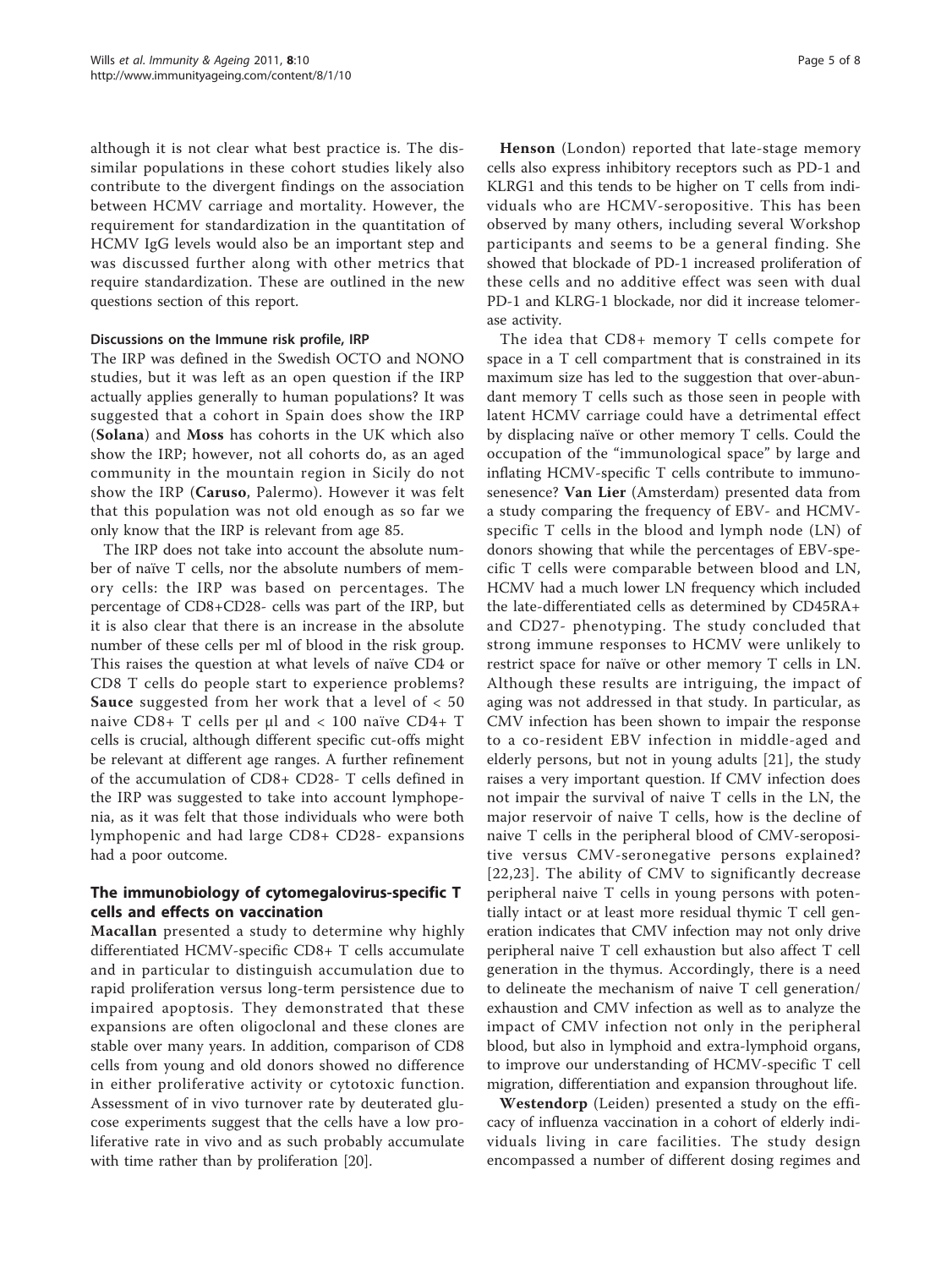although it is not clear what best practice is. The dissimilar populations in these cohort studies likely also contribute to the divergent findings on the association between HCMV carriage and mortality. However, the requirement for standardization in the quantitation of HCMV IgG levels would also be an important step and was discussed further along with other metrics that require standardization. These are outlined in the new questions section of this report.

#### Discussions on the Immune risk profile, IRP

The IRP was defined in the Swedish OCTO and NONO studies, but it was left as an open question if the IRP actually applies generally to human populations? It was suggested that a cohort in Spain does show the IRP (Solana) and Moss has cohorts in the UK which also show the IRP; however, not all cohorts do, as an aged community in the mountain region in Sicily do not show the IRP (Caruso, Palermo). However it was felt that this population was not old enough as so far we only know that the IRP is relevant from age 85.

The IRP does not take into account the absolute number of naïve T cells, nor the absolute numbers of memory cells: the IRP was based on percentages. The percentage of CD8+CD28- cells was part of the IRP, but it is also clear that there is an increase in the absolute number of these cells per ml of blood in the risk group. This raises the question at what levels of naïve CD4 or CD8 T cells do people start to experience problems? Sauce suggested from her work that a level of < 50 naive CD8+ T cells per μl and < 100 naïve CD4+ T cells is crucial, although different specific cut-offs might be relevant at different age ranges. A further refinement of the accumulation of CD8+ CD28- T cells defined in the IRP was suggested to take into account lymphopenia, as it was felt that those individuals who were both lymphopenic and had large CD8+ CD28- expansions had a poor outcome.

## The immunobiology of cytomegalovirus-specific T cells and effects on vaccination

Macallan presented a study to determine why highly differentiated HCMV-specific CD8+ T cells accumulate and in particular to distinguish accumulation due to rapid proliferation versus long-term persistence due to impaired apoptosis. They demonstrated that these expansions are often oligoclonal and these clones are stable over many years. In addition, comparison of CD8 cells from young and old donors showed no difference in either proliferative activity or cytotoxic function. Assessment of in vivo turnover rate by deuterated glucose experiments suggest that the cells have a low proliferative rate in vivo and as such probably accumulate with time rather than by proliferation [[20\]](#page-8-0).

Henson (London) reported that late-stage memory cells also express inhibitory receptors such as PD-1 and KLRG1 and this tends to be higher on T cells from individuals who are HCMV-seropositive. This has been observed by many others, including several Workshop participants and seems to be a general finding. She showed that blockade of PD-1 increased proliferation of these cells and no additive effect was seen with dual PD-1 and KLRG-1 blockade, nor did it increase telomerase activity.

The idea that CD8+ memory T cells compete for space in a T cell compartment that is constrained in its maximum size has led to the suggestion that over-abundant memory T cells such as those seen in people with latent HCMV carriage could have a detrimental effect by displacing naïve or other memory T cells. Could the occupation of the "immunological space" by large and inflating HCMV-specific T cells contribute to immunosenesence? Van Lier (Amsterdam) presented data from a study comparing the frequency of EBV- and HCMVspecific T cells in the blood and lymph node (LN) of donors showing that while the percentages of EBV-specific T cells were comparable between blood and LN, HCMV had a much lower LN frequency which included the late-differentiated cells as determined by CD45RA+ and CD27- phenotyping. The study concluded that strong immune responses to HCMV were unlikely to restrict space for naïve or other memory T cells in LN. Although these results are intriguing, the impact of aging was not addressed in that study. In particular, as CMV infection has been shown to impair the response to a co-resident EBV infection in middle-aged and elderly persons, but not in young adults [[21\]](#page-8-0), the study raises a very important question. If CMV infection does not impair the survival of naive T cells in the LN, the major reservoir of naive T cells, how is the decline of naive T cells in the peripheral blood of CMV-seropositive versus CMV-seronegative persons explained? [[22,23\]](#page-8-0). The ability of CMV to significantly decrease peripheral naive T cells in young persons with potentially intact or at least more residual thymic T cell generation indicates that CMV infection may not only drive peripheral naive T cell exhaustion but also affect T cell generation in the thymus. Accordingly, there is a need to delineate the mechanism of naive T cell generation/ exhaustion and CMV infection as well as to analyze the impact of CMV infection not only in the peripheral blood, but also in lymphoid and extra-lymphoid organs, to improve our understanding of HCMV-specific T cell migration, differentiation and expansion throughout life.

Westendorp (Leiden) presented a study on the efficacy of influenza vaccination in a cohort of elderly individuals living in care facilities. The study design encompassed a number of different dosing regimes and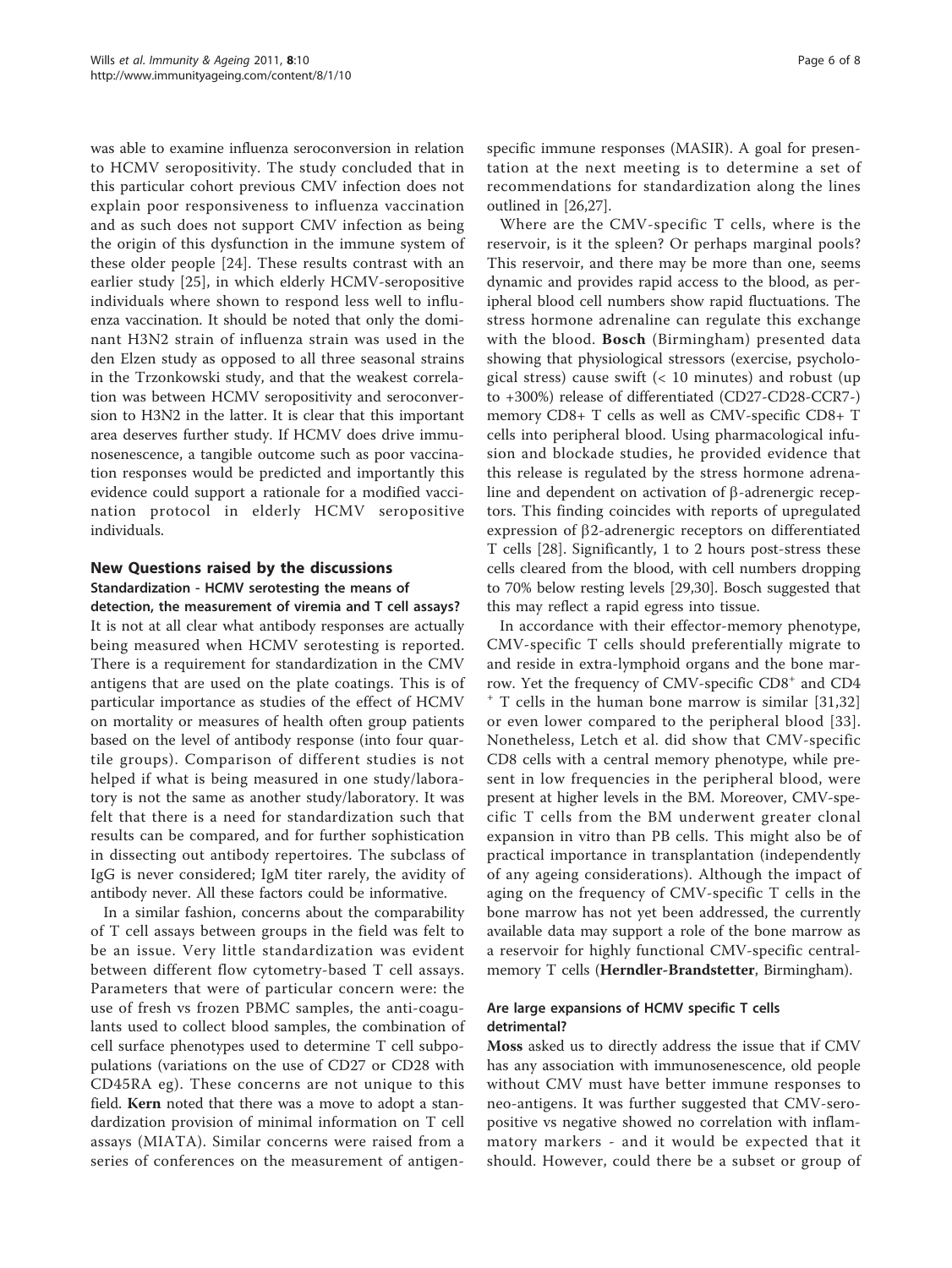was able to examine influenza seroconversion in relation to HCMV seropositivity. The study concluded that in this particular cohort previous CMV infection does not explain poor responsiveness to influenza vaccination and as such does not support CMV infection as being the origin of this dysfunction in the immune system of these older people [[24\]](#page-8-0). These results contrast with an earlier study [[25](#page-8-0)], in which elderly HCMV-seropositive individuals where shown to respond less well to influenza vaccination. It should be noted that only the dominant H3N2 strain of influenza strain was used in the den Elzen study as opposed to all three seasonal strains in the Trzonkowski study, and that the weakest correlation was between HCMV seropositivity and seroconversion to H3N2 in the latter. It is clear that this important area deserves further study. If HCMV does drive immunosenescence, a tangible outcome such as poor vaccination responses would be predicted and importantly this evidence could support a rationale for a modified vaccination protocol in elderly HCMV seropositive individuals.

## New Questions raised by the discussions Standardization - HCMV serotesting the means of

detection, the measurement of viremia and T cell assays? It is not at all clear what antibody responses are actually being measured when HCMV serotesting is reported. There is a requirement for standardization in the CMV antigens that are used on the plate coatings. This is of particular importance as studies of the effect of HCMV on mortality or measures of health often group patients based on the level of antibody response (into four quartile groups). Comparison of different studies is not helped if what is being measured in one study/laboratory is not the same as another study/laboratory. It was felt that there is a need for standardization such that results can be compared, and for further sophistication in dissecting out antibody repertoires. The subclass of IgG is never considered; IgM titer rarely, the avidity of antibody never. All these factors could be informative.

In a similar fashion, concerns about the comparability of T cell assays between groups in the field was felt to be an issue. Very little standardization was evident between different flow cytometry-based T cell assays. Parameters that were of particular concern were: the use of fresh vs frozen PBMC samples, the anti-coagulants used to collect blood samples, the combination of cell surface phenotypes used to determine T cell subpopulations (variations on the use of CD27 or CD28 with CD45RA eg). These concerns are not unique to this field. Kern noted that there was a move to adopt a standardization provision of minimal information on T cell assays (MIATA). Similar concerns were raised from a series of conferences on the measurement of antigenspecific immune responses (MASIR). A goal for presentation at the next meeting is to determine a set of recommendations for standardization along the lines outlined in [[26,27\]](#page-8-0).

Where are the CMV-specific T cells, where is the reservoir, is it the spleen? Or perhaps marginal pools? This reservoir, and there may be more than one, seems dynamic and provides rapid access to the blood, as peripheral blood cell numbers show rapid fluctuations. The stress hormone adrenaline can regulate this exchange with the blood. Bosch (Birmingham) presented data showing that physiological stressors (exercise, psychological stress) cause swift  $\left($  < 10 minutes) and robust (up to +300%) release of differentiated (CD27-CD28-CCR7-) memory CD8+ T cells as well as CMV-specific CD8+ T cells into peripheral blood. Using pharmacological infusion and blockade studies, he provided evidence that this release is regulated by the stress hormone adrenaline and dependent on activation of  $\beta$ -adrenergic receptors. This finding coincides with reports of upregulated expression of  $\beta$ 2-adrenergic receptors on differentiated T cells [\[28](#page-8-0)]. Significantly, 1 to 2 hours post-stress these cells cleared from the blood, with cell numbers dropping to 70% below resting levels [\[29,30](#page-8-0)]. Bosch suggested that this may reflect a rapid egress into tissue.

In accordance with their effector-memory phenotype, CMV-specific T cells should preferentially migrate to and reside in extra-lymphoid organs and the bone marrow. Yet the frequency of CMV-specific CD8<sup>+</sup> and CD4 <sup>+</sup> T cells in the human bone marrow is similar [[31,32](#page-8-0)] or even lower compared to the peripheral blood [[33](#page-8-0)]. Nonetheless, Letch et al. did show that CMV-specific CD8 cells with a central memory phenotype, while present in low frequencies in the peripheral blood, were present at higher levels in the BM. Moreover, CMV-specific T cells from the BM underwent greater clonal expansion in vitro than PB cells. This might also be of practical importance in transplantation (independently of any ageing considerations). Although the impact of aging on the frequency of CMV-specific T cells in the bone marrow has not yet been addressed, the currently available data may support a role of the bone marrow as a reservoir for highly functional CMV-specific centralmemory T cells (Herndler-Brandstetter, Birmingham).

#### Are large expansions of HCMV specific T cells detrimental?

Moss asked us to directly address the issue that if CMV has any association with immunosenescence, old people without CMV must have better immune responses to neo-antigens. It was further suggested that CMV-seropositive vs negative showed no correlation with inflammatory markers - and it would be expected that it should. However, could there be a subset or group of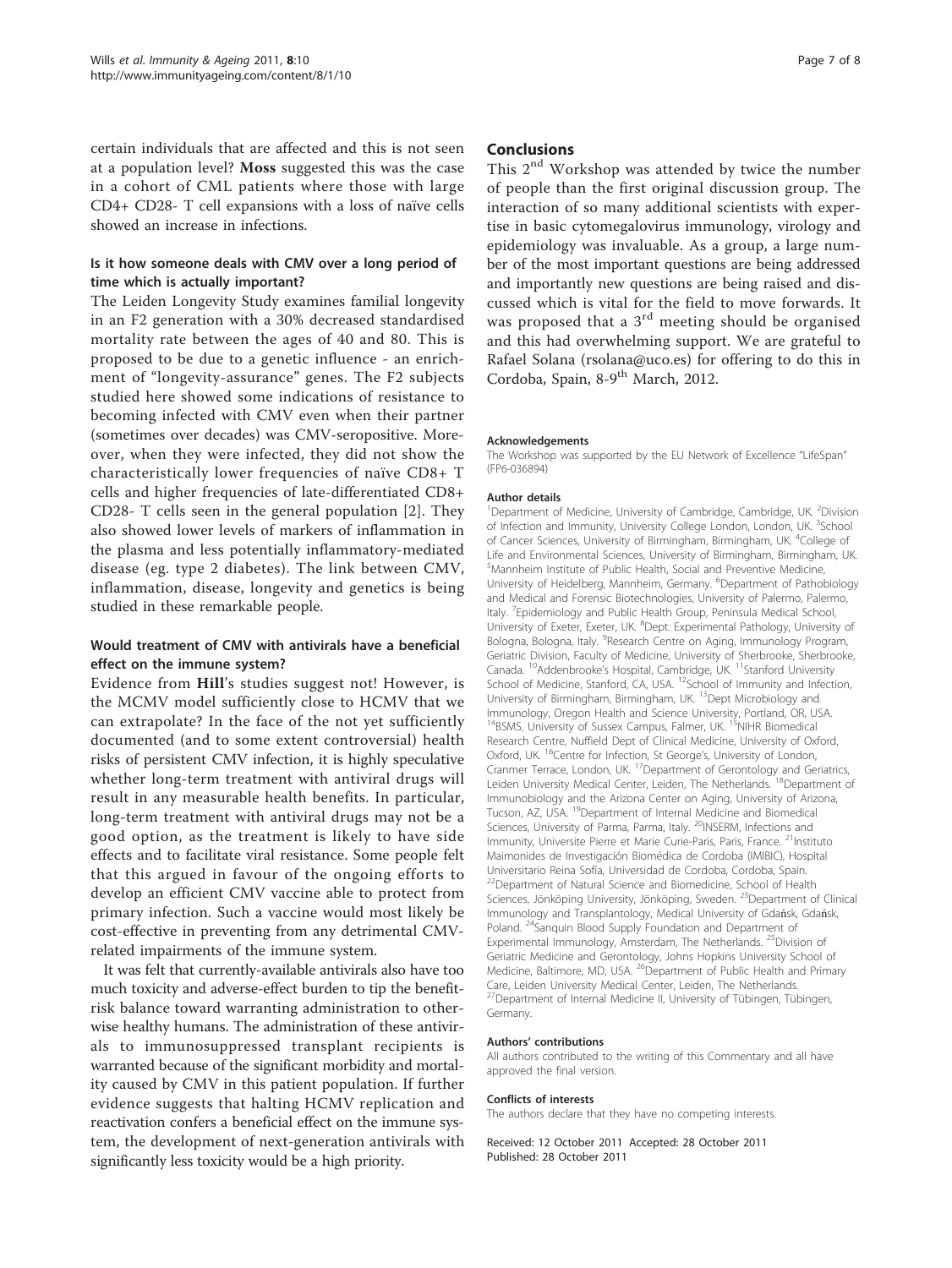certain individuals that are affected and this is not seen at a population level? Moss suggested this was the case in a cohort of CML patients where those with large CD4+ CD28- T cell expansions with a loss of naïve cells showed an increase in infections.

## Is it how someone deals with CMV over a long period of time which is actually important?

The Leiden Longevity Study examines familial longevity in an F2 generation with a 30% decreased standardised mortality rate between the ages of 40 and 80. This is proposed to be due to a genetic influence - an enrichment of "longevity-assurance" genes. The F2 subjects studied here showed some indications of resistance to becoming infected with CMV even when their partner (sometimes over decades) was CMV-seropositive. Moreover, when they were infected, they did not show the characteristically lower frequencies of naïve CD8+ T cells and higher frequencies of late-differentiated CD8+ CD28- T cells seen in the general population [[2\]](#page-8-0). They also showed lower levels of markers of inflammation in the plasma and less potentially inflammatory-mediated disease (eg. type 2 diabetes). The link between CMV, inflammation, disease, longevity and genetics is being studied in these remarkable people.

#### Would treatment of CMV with antivirals have a beneficial effect on the immune system?

Evidence from Hill's studies suggest not! However, is the MCMV model sufficiently close to HCMV that we can extrapolate? In the face of the not yet sufficiently documented (and to some extent controversial) health risks of persistent CMV infection, it is highly speculative whether long-term treatment with antiviral drugs will result in any measurable health benefits. In particular, long-term treatment with antiviral drugs may not be a good option, as the treatment is likely to have side effects and to facilitate viral resistance. Some people felt that this argued in favour of the ongoing efforts to develop an efficient CMV vaccine able to protect from primary infection. Such a vaccine would most likely be cost-effective in preventing from any detrimental CMVrelated impairments of the immune system.

It was felt that currently-available antivirals also have too much toxicity and adverse-effect burden to tip the benefitrisk balance toward warranting administration to otherwise healthy humans. The administration of these antivirals to immunosuppressed transplant recipients is warranted because of the significant morbidity and mortality caused by CMV in this patient population. If further evidence suggests that halting HCMV replication and reactivation confers a beneficial effect on the immune system, the development of next-generation antivirals with significantly less toxicity would be a high priority.

#### Conclusions

This 2<sup>nd</sup> Workshop was attended by twice the number of people than the first original discussion group. The interaction of so many additional scientists with expertise in basic cytomegalovirus immunology, virology and epidemiology was invaluable. As a group, a large number of the most important questions are being addressed and importantly new questions are being raised and discussed which is vital for the field to move forwards. It was proposed that a  $3<sup>rd</sup>$  meeting should be organised and this had overwhelming support. We are grateful to Rafael Solana (rsolana@uco.es) for offering to do this in Cordoba, Spain, 8-9<sup>th</sup> March, 2012.

#### Acknowledgements

The Workshop was supported by the EU Network of Excellence "LifeSpan" (FP6-036894)

#### Author details

<sup>1</sup>Department of Medicine, University of Cambridge, Cambridge, UK.<sup>2</sup>Division of Infection and Immunity, University College London, London, UK. <sup>3</sup>School of Cancer Sciences, University of Birmingham, Birmingham, UK. <sup>4</sup>College of Life and Environmental Sciences, University of Birmingham, Birmingham, UK. <sup>5</sup>Mannheim Institute of Public Health, Social and Preventive Medicine, University of Heidelberg, Mannheim, Germany. <sup>6</sup>Department of Pathobiology and Medical and Forensic Biotechnologies, University of Palermo, Palermo, Italy. <sup>7</sup> Epidemiology and Public Health Group, Peninsula Medical School, University of Exeter, Exeter, UK. <sup>8</sup>Dept. Experimental Pathology, University of Bologna, Bologna, Italy. <sup>9</sup>Research Centre on Aging, Immunology Program, Geriatric Division, Faculty of Medicine, University of Sherbrooke, Sherbrooke, Canada. <sup>10</sup>Addenbrooke's Hospital, Cambridge, UK. <sup>11</sup>Stanford University School of Medicine, Stanford, CA, USA. <sup>12</sup>School of Immunity and Infection, University of Birmingham, Birmingham, UK. <sup>13</sup>Dept Microbiology and Immunology, Oregon Health and Science University, Portland, OR, USA. <sup>14</sup>BSMS, University of Sussex Campus, Falmer, UK. <sup>15</sup>NIHR Biomedical Research Centre, Nuffield Dept of Clinical Medicine, University of Oxford, Oxford, UK. <sup>16</sup>Centre for Infection, St George's, University of London, Cranmer Terrace, London, UK.<sup>17</sup>Department of Gerontology and Geriatrics Leiden University Medical Center, Leiden, The Netherlands.<sup>18</sup>Department of Immunobiology and the Arizona Center on Aging, University of Arizona, Tucson, AZ, USA. <sup>19</sup>Department of Internal Medicine and Biomedical Sciences, University of Parma, Parma, Italy. <sup>20</sup>INSERM, Infections and Immunity, Universite Pierre et Marie Curie-Paris, Paris, France. <sup>21</sup>Instituto Maimonides de Investigación Biomédica de Cordoba (IMIBIC), Hospital Universitario Reina Sofía, Universidad de Cordoba, Cordoba, Spain. <sup>22</sup>Department of Natural Science and Biomedicine, School of Health Sciences, Jönköping University, Jönköping, Sweden. <sup>23</sup>Department of Clinical Immunology and Transplantology, Medical University of Gdańsk, Gdańsk, Poland. <sup>24</sup>Sanquin Blood Supply Foundation and Department of Experimental Immunology, Amsterdam, The Netherlands. <sup>25</sup>Division of Geriatric Medicine and Gerontology, Johns Hopkins University School of Medicine, Baltimore, MD, USA. <sup>26</sup>Department of Public Health and Primary Care, Leiden University Medical Center, Leiden, The Netherlands. <sup>27</sup>Department of Internal Medicine II, University of Tübingen, Tübingen, Germany.

#### Authors' contributions

All authors contributed to the writing of this Commentary and all have approved the final version.

#### Conflicts of interests

The authors declare that they have no competing interests.

Received: 12 October 2011 Accepted: 28 October 2011 Published: 28 October 2011